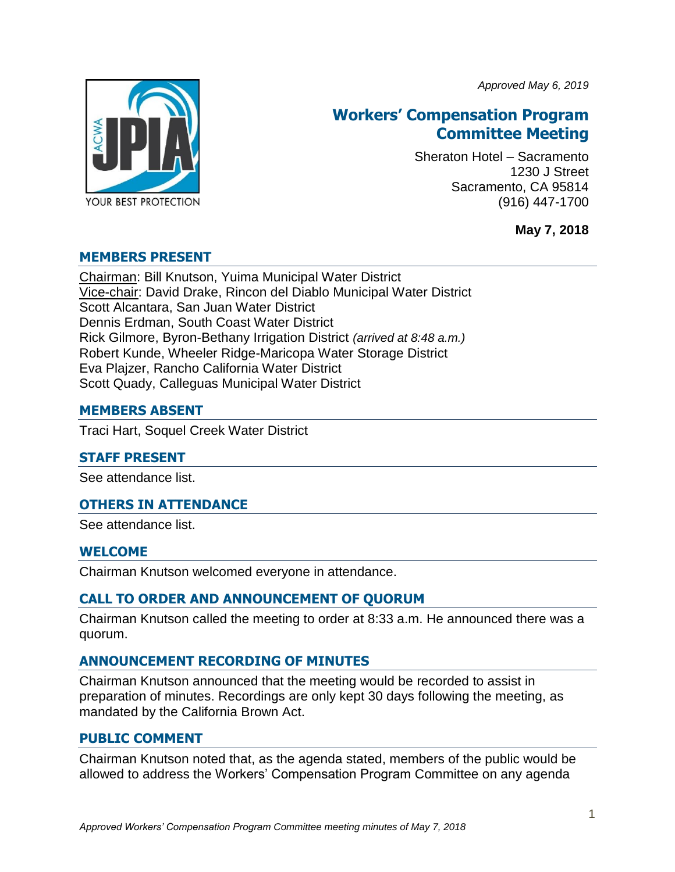*Approved May 6, 2019*



# **Workers' Compensation Program Committee Meeting**

Sheraton Hotel – Sacramento 1230 J Street Sacramento, CA 95814 (916) 447-1700

**May 7, 2018**

## **MEMBERS PRESENT**

Chairman: Bill Knutson, Yuima Municipal Water District Vice-chair: David Drake, Rincon del Diablo Municipal Water District Scott Alcantara, San Juan Water District Dennis Erdman, South Coast Water District Rick Gilmore, Byron-Bethany Irrigation District *(arrived at 8:48 a.m.)* Robert Kunde, Wheeler Ridge-Maricopa Water Storage District Eva Plajzer, Rancho California Water District Scott Quady, Calleguas Municipal Water District

## **MEMBERS ABSENT**

Traci Hart, Soquel Creek Water District

## **STAFF PRESENT**

See attendance list.

## **OTHERS IN ATTENDANCE**

See attendance list.

## **WELCOME**

Chairman Knutson welcomed everyone in attendance.

## **CALL TO ORDER AND ANNOUNCEMENT OF QUORUM**

Chairman Knutson called the meeting to order at 8:33 a.m. He announced there was a quorum.

## **ANNOUNCEMENT RECORDING OF MINUTES**

Chairman Knutson announced that the meeting would be recorded to assist in preparation of minutes. Recordings are only kept 30 days following the meeting, as mandated by the California Brown Act.

#### **PUBLIC COMMENT**

Chairman Knutson noted that, as the agenda stated, members of the public would be allowed to address the Workers' Compensation Program Committee on any agenda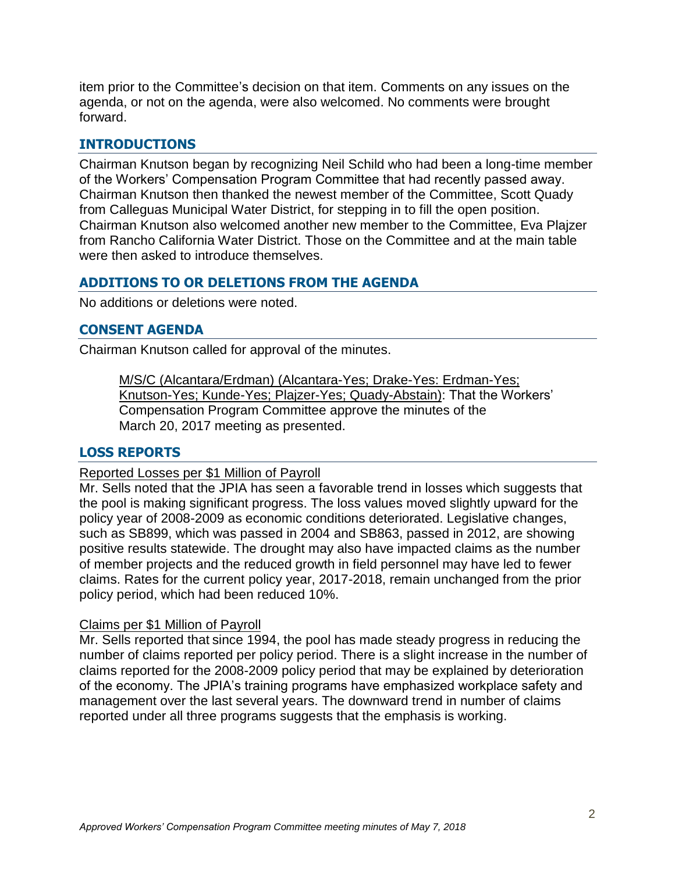item prior to the Committee's decision on that item. Comments on any issues on the agenda, or not on the agenda, were also welcomed. No comments were brought forward.

## **INTRODUCTIONS**

Chairman Knutson began by recognizing Neil Schild who had been a long-time member of the Workers' Compensation Program Committee that had recently passed away. Chairman Knutson then thanked the newest member of the Committee, Scott Quady from Calleguas Municipal Water District, for stepping in to fill the open position. Chairman Knutson also welcomed another new member to the Committee, Eva Plajzer from Rancho California Water District. Those on the Committee and at the main table were then asked to introduce themselves.

## **ADDITIONS TO OR DELETIONS FROM THE AGENDA**

No additions or deletions were noted.

#### **CONSENT AGENDA**

Chairman Knutson called for approval of the minutes.

M/S/C (Alcantara/Erdman) (Alcantara-Yes; Drake-Yes: Erdman-Yes; Knutson-Yes; Kunde-Yes; Plajzer-Yes; Quady-Abstain): That the Workers' Compensation Program Committee approve the minutes of the March 20, 2017 meeting as presented.

#### **LOSS REPORTS**

#### Reported Losses per \$1 Million of Payroll

Mr. Sells noted that the JPIA has seen a favorable trend in losses which suggests that the pool is making significant progress. The loss values moved slightly upward for the policy year of 2008-2009 as economic conditions deteriorated. Legislative changes, such as SB899, which was passed in 2004 and SB863, passed in 2012, are showing positive results statewide. The drought may also have impacted claims as the number of member projects and the reduced growth in field personnel may have led to fewer claims. Rates for the current policy year, 2017-2018, remain unchanged from the prior policy period, which had been reduced 10%.

#### Claims per \$1 Million of Payroll

Mr. Sells reported that since 1994, the pool has made steady progress in reducing the number of claims reported per policy period. There is a slight increase in the number of claims reported for the 2008-2009 policy period that may be explained by deterioration of the economy. The JPIA's training programs have emphasized workplace safety and management over the last several years. The downward trend in number of claims reported under all three programs suggests that the emphasis is working.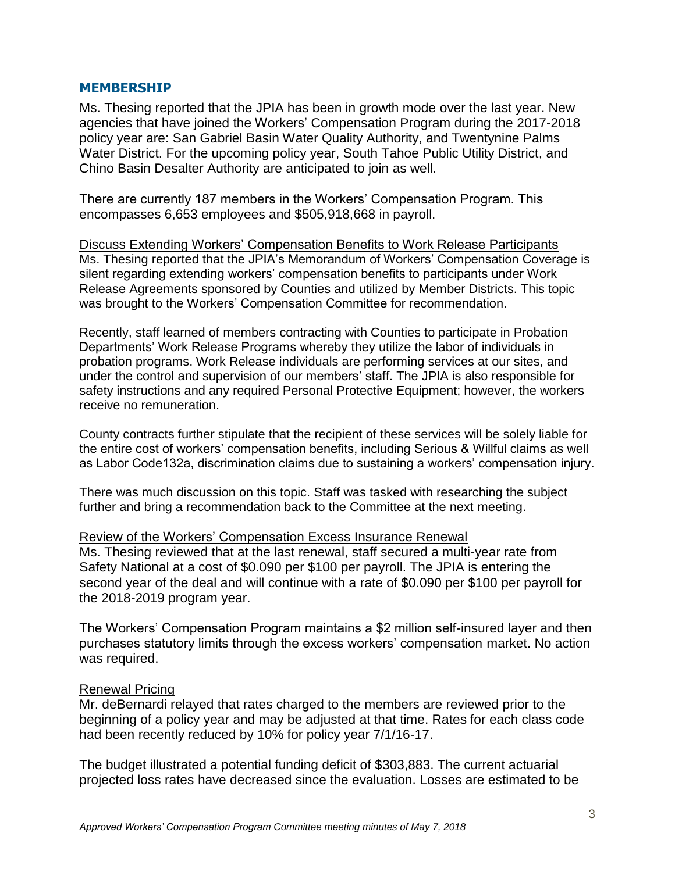#### **MEMBERSHIP**

Ms. Thesing reported that the JPIA has been in growth mode over the last year. New agencies that have joined the Workers' Compensation Program during the 2017-2018 policy year are: San Gabriel Basin Water Quality Authority, and Twentynine Palms Water District. For the upcoming policy year, South Tahoe Public Utility District, and Chino Basin Desalter Authority are anticipated to join as well.

There are currently 187 members in the Workers' Compensation Program. This encompasses 6,653 employees and \$505,918,668 in payroll.

Discuss Extending Workers' Compensation Benefits to Work Release Participants Ms. Thesing reported that the JPIA's Memorandum of Workers' Compensation Coverage is silent regarding extending workers' compensation benefits to participants under Work Release Agreements sponsored by Counties and utilized by Member Districts. This topic was brought to the Workers' Compensation Committee for recommendation.

Recently, staff learned of members contracting with Counties to participate in Probation Departments' Work Release Programs whereby they utilize the labor of individuals in probation programs. Work Release individuals are performing services at our sites, and under the control and supervision of our members' staff. The JPIA is also responsible for safety instructions and any required Personal Protective Equipment; however, the workers receive no remuneration.

County contracts further stipulate that the recipient of these services will be solely liable for the entire cost of workers' compensation benefits, including Serious & Willful claims as well as Labor Code132a, discrimination claims due to sustaining a workers' compensation injury.

There was much discussion on this topic. Staff was tasked with researching the subject further and bring a recommendation back to the Committee at the next meeting.

#### Review of the Workers' Compensation Excess Insurance Renewal

Ms. Thesing reviewed that at the last renewal, staff secured a multi-year rate from Safety National at a cost of \$0.090 per \$100 per payroll. The JPIA is entering the second year of the deal and will continue with a rate of \$0.090 per \$100 per payroll for the 2018-2019 program year.

The Workers' Compensation Program maintains a \$2 million self-insured layer and then purchases statutory limits through the excess workers' compensation market. No action was required.

#### Renewal Pricing

Mr. deBernardi relayed that rates charged to the members are reviewed prior to the beginning of a policy year and may be adjusted at that time. Rates for each class code had been recently reduced by 10% for policy year 7/1/16-17.

The budget illustrated a potential funding deficit of \$303,883. The current actuarial projected loss rates have decreased since the evaluation. Losses are estimated to be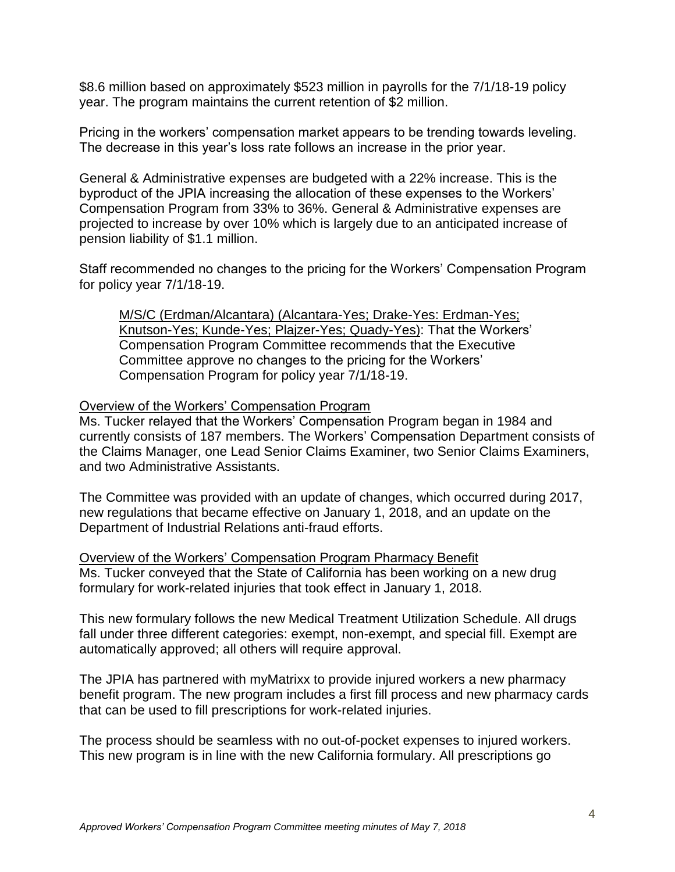\$8.6 million based on approximately \$523 million in payrolls for the 7/1/18-19 policy year. The program maintains the current retention of \$2 million.

Pricing in the workers' compensation market appears to be trending towards leveling. The decrease in this year's loss rate follows an increase in the prior year.

General & Administrative expenses are budgeted with a 22% increase. This is the byproduct of the JPIA increasing the allocation of these expenses to the Workers' Compensation Program from 33% to 36%. General & Administrative expenses are projected to increase by over 10% which is largely due to an anticipated increase of pension liability of \$1.1 million.

Staff recommended no changes to the pricing for the Workers' Compensation Program for policy year 7/1/18-19.

M/S/C (Erdman/Alcantara) (Alcantara-Yes; Drake-Yes: Erdman-Yes; Knutson-Yes; Kunde-Yes; Plajzer-Yes; Quady-Yes): That the Workers' Compensation Program Committee recommends that the Executive Committee approve no changes to the pricing for the Workers' Compensation Program for policy year 7/1/18-19.

#### Overview of the Workers' Compensation Program

Ms. Tucker relayed that the Workers' Compensation Program began in 1984 and currently consists of 187 members. The Workers' Compensation Department consists of the Claims Manager, one Lead Senior Claims Examiner, two Senior Claims Examiners, and two Administrative Assistants.

The Committee was provided with an update of changes, which occurred during 2017, new regulations that became effective on January 1, 2018, and an update on the Department of Industrial Relations anti-fraud efforts.

Overview of the Workers' Compensation Program Pharmacy Benefit Ms. Tucker conveyed that the State of California has been working on a new drug formulary for work-related injuries that took effect in January 1, 2018.

This new formulary follows the new Medical Treatment Utilization Schedule. All drugs fall under three different categories: exempt, non-exempt, and special fill. Exempt are automatically approved; all others will require approval.

The JPIA has partnered with myMatrixx to provide injured workers a new pharmacy benefit program. The new program includes a first fill process and new pharmacy cards that can be used to fill prescriptions for work-related injuries.

The process should be seamless with no out-of-pocket expenses to injured workers. This new program is in line with the new California formulary. All prescriptions go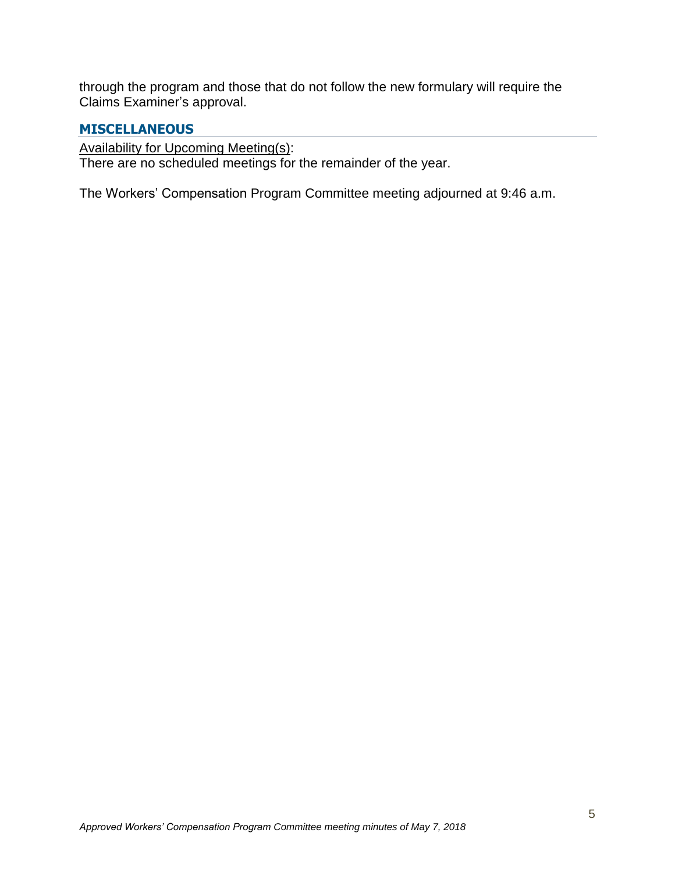through the program and those that do not follow the new formulary will require the Claims Examiner's approval.

## **MISCELLANEOUS**

Availability for Upcoming Meeting(s):

There are no scheduled meetings for the remainder of the year.

The Workers' Compensation Program Committee meeting adjourned at 9:46 a.m.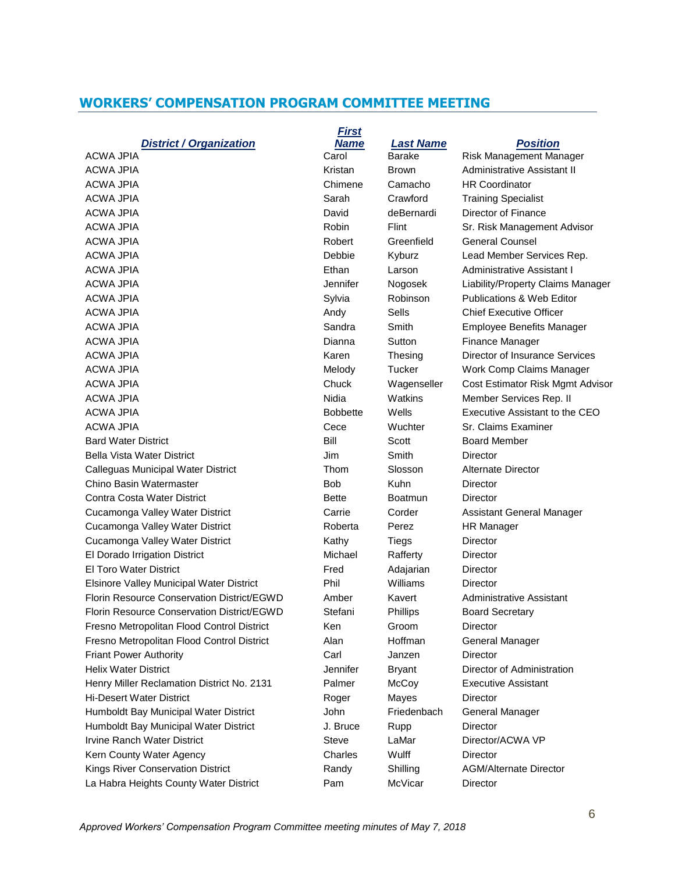## **WORKERS' COMPENSATION PROGRAM COMMITTEE MEETING**

|                                                   | <b>First</b>    |                  |                                   |
|---------------------------------------------------|-----------------|------------------|-----------------------------------|
| <b>District / Organization</b>                    | <b>Name</b>     | <b>Last Name</b> | <b>Position</b>                   |
| <b>ACWA JPIA</b>                                  | Carol           | <b>Barake</b>    | Risk Management Manager           |
| <b>ACWA JPIA</b>                                  | Kristan         | Brown            | Administrative Assistant II       |
| ACWA JPIA                                         | Chimene         | Camacho          | <b>HR Coordinator</b>             |
| <b>ACWA JPIA</b>                                  | Sarah           | Crawford         | <b>Training Specialist</b>        |
| <b>ACWA JPIA</b>                                  | David           | deBernardi       | Director of Finance               |
| ACWA JPIA                                         | Robin           | Flint            | Sr. Risk Management Advisor       |
| <b>ACWA JPIA</b>                                  | Robert          | Greenfield       | <b>General Counsel</b>            |
| <b>ACWA JPIA</b>                                  | Debbie          | Kyburz           | Lead Member Services Rep.         |
| <b>ACWA JPIA</b>                                  | Ethan           | Larson           | Administrative Assistant I        |
| <b>ACWA JPIA</b>                                  | Jennifer        | Nogosek          | Liability/Property Claims Manager |
| <b>ACWA JPIA</b>                                  | Sylvia          | Robinson         | Publications & Web Editor         |
| ACWA JPIA                                         | Andy            | <b>Sells</b>     | <b>Chief Executive Officer</b>    |
| <b>ACWA JPIA</b>                                  | Sandra          | Smith            | <b>Employee Benefits Manager</b>  |
| <b>ACWA JPIA</b>                                  | Dianna          | Sutton           | Finance Manager                   |
| <b>ACWA JPIA</b>                                  | Karen           | Thesing          | Director of Insurance Services    |
| <b>ACWA JPIA</b>                                  | Melody          | Tucker           | Work Comp Claims Manager          |
| ACWA JPIA                                         | Chuck           | Wagenseller      | Cost Estimator Risk Mgmt Advisor  |
| <b>ACWA JPIA</b>                                  | Nidia           | Watkins          | Member Services Rep. II           |
| <b>ACWA JPIA</b>                                  | <b>Bobbette</b> | Wells            | Executive Assistant to the CEO    |
| <b>ACWA JPIA</b>                                  | Cece            | Wuchter          | Sr. Claims Examiner               |
| <b>Bard Water District</b>                        | Bill            | Scott            | <b>Board Member</b>               |
| <b>Bella Vista Water District</b>                 | Jim             | Smith            | Director                          |
| Calleguas Municipal Water District                | Thom            | Slosson          | Alternate Director                |
| Chino Basin Watermaster                           | <b>Bob</b>      | Kuhn             | Director                          |
| Contra Costa Water District                       | <b>Bette</b>    | Boatmun          | Director                          |
| Cucamonga Valley Water District                   | Carrie          | Corder           | Assistant General Manager         |
| Cucamonga Valley Water District                   | Roberta         | Perez            | HR Manager                        |
| Cucamonga Valley Water District                   | Kathy           | Tiegs            | Director                          |
| El Dorado Irrigation District                     | Michael         | Rafferty         | Director                          |
| El Toro Water District                            | Fred            | Adajarian        | Director                          |
| Elsinore Valley Municipal Water District          | Phil            | Williams         | Director                          |
| Florin Resource Conservation District/EGWD        | Amber           | Kavert           | Administrative Assistant          |
| <b>Florin Resource Conservation District/EGWD</b> | Stefani         | <b>Phillips</b>  | <b>Board Secretary</b>            |
| Fresno Metropolitan Flood Control District        | Ken             | Groom            | <b>Director</b>                   |
| Fresno Metropolitan Flood Control District        | Alan            | Hoffman          | General Manager                   |
| <b>Friant Power Authority</b>                     | Carl            | Janzen           | Director                          |
| <b>Helix Water District</b>                       | Jennifer        | <b>Bryant</b>    | Director of Administration        |
| Henry Miller Reclamation District No. 2131        | Palmer          | McCoy            | <b>Executive Assistant</b>        |
| <b>Hi-Desert Water District</b>                   | Roger           | Mayes            | Director                          |
| Humboldt Bay Municipal Water District             | John            | Friedenbach      | General Manager                   |
| Humboldt Bay Municipal Water District             | J. Bruce        | Rupp             | Director                          |
| <b>Irvine Ranch Water District</b>                | <b>Steve</b>    | LaMar            | Director/ACWA VP                  |
| Kern County Water Agency                          | Charles         | Wulff            | <b>Director</b>                   |
| Kings River Conservation District                 | Randy           | Shilling         | <b>AGM/Alternate Director</b>     |
| La Habra Heights County Water District            | Pam             | McVicar          | Director                          |
|                                                   |                 |                  |                                   |